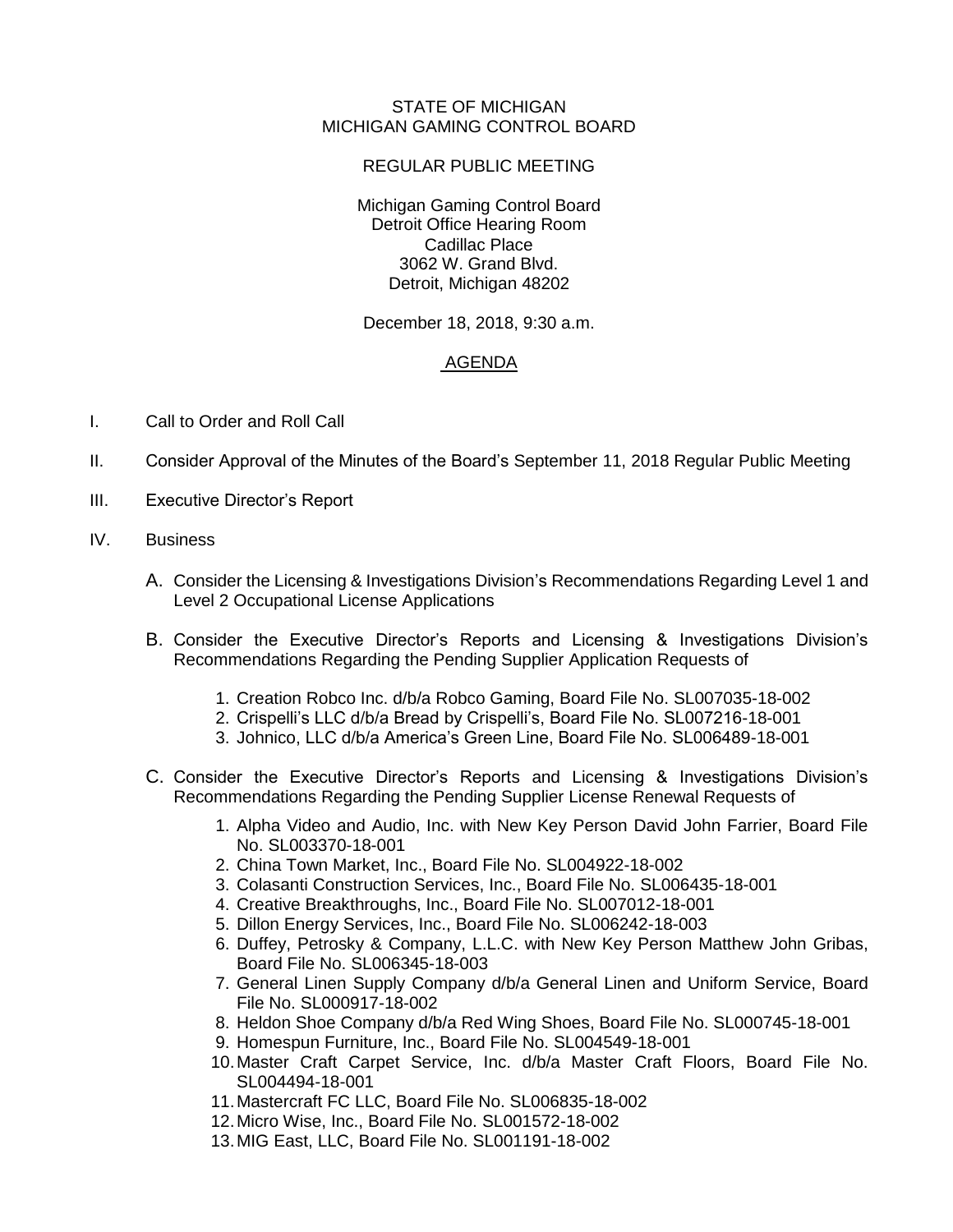## STATE OF MICHIGAN MICHIGAN GAMING CONTROL BOARD

## REGULAR PUBLIC MEETING

Michigan Gaming Control Board Detroit Office Hearing Room Cadillac Place 3062 W. Grand Blvd. Detroit, Michigan 48202

December 18, 2018, 9:30 a.m.

## AGENDA

- I. Call to Order and Roll Call
- II. Consider Approval of the Minutes of the Board's September 11, 2018 Regular Public Meeting
- III. Executive Director's Report

## IV. Business

- A. Consider the Licensing & Investigations Division's Recommendations Regarding Level 1 and Level 2 Occupational License Applications
- B. Consider the Executive Director's Reports and Licensing & Investigations Division's Recommendations Regarding the Pending Supplier Application Requests of
	- 1. Creation Robco Inc. d/b/a Robco Gaming, Board File No. SL007035-18-002
	- 2. Crispelli's LLC d/b/a Bread by Crispelli's, Board File No. SL007216-18-001
	- 3. Johnico, LLC d/b/a America's Green Line, Board File No. SL006489-18-001
- C. Consider the Executive Director's Reports and Licensing & Investigations Division's Recommendations Regarding the Pending Supplier License Renewal Requests of
	- 1. Alpha Video and Audio, Inc. with New Key Person David John Farrier, Board File No. SL003370-18-001
	- 2. China Town Market, Inc., Board File No. SL004922-18-002
	- 3. Colasanti Construction Services, Inc., Board File No. SL006435-18-001
	- 4. Creative Breakthroughs, Inc., Board File No. SL007012-18-001
	- 5. Dillon Energy Services, Inc., Board File No. SL006242-18-003
	- 6. Duffey, Petrosky & Company, L.L.C. with New Key Person Matthew John Gribas, Board File No. SL006345-18-003
	- 7. General Linen Supply Company d/b/a General Linen and Uniform Service, Board File No. SL000917-18-002
	- 8. Heldon Shoe Company d/b/a Red Wing Shoes, Board File No. SL000745-18-001
	- 9. Homespun Furniture, Inc., Board File No. SL004549-18-001
	- 10.Master Craft Carpet Service, Inc. d/b/a Master Craft Floors, Board File No. SL004494-18-001
	- 11.Mastercraft FC LLC, Board File No. SL006835-18-002
	- 12.Micro Wise, Inc., Board File No. SL001572-18-002
	- 13.MIG East, LLC, Board File No. SL001191-18-002